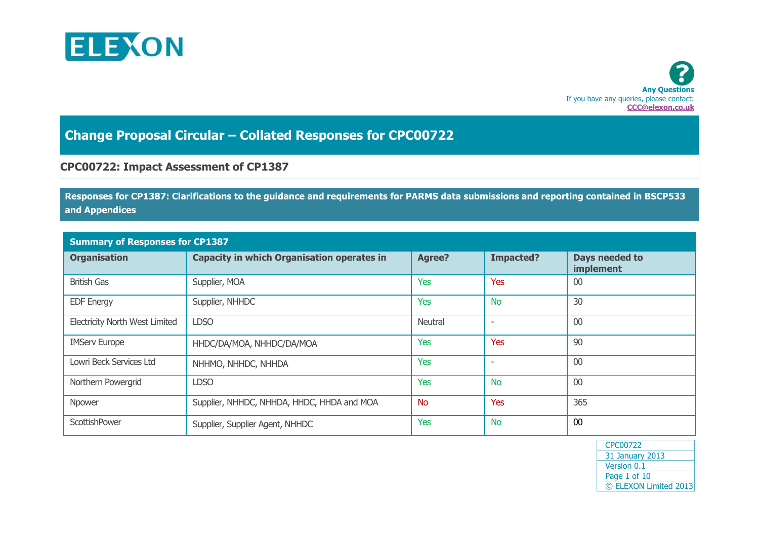



## **Change Proposal Circular – Collated Responses for CPC00722**

## **CPC00722: Impact Assessment of CP1387**

**Responses for CP1387: Clarifications to the guidance and requirements for PARMS data submissions and reporting contained in BSCP533 and Appendices**

| <b>Summary of Responses for CP1387</b> |                                                   |                |                          |                             |  |  |  |
|----------------------------------------|---------------------------------------------------|----------------|--------------------------|-----------------------------|--|--|--|
| <b>Organisation</b>                    | <b>Capacity in which Organisation operates in</b> | <b>Agree?</b>  | <b>Impacted?</b>         | Days needed to<br>implement |  |  |  |
| <b>British Gas</b>                     | Supplier, MOA                                     | Yes            | Yes                      | 00                          |  |  |  |
| <b>EDF Energy</b>                      | Supplier, NHHDC                                   | <b>Yes</b>     | <b>No</b>                | 30                          |  |  |  |
| <b>Electricity North West Limited</b>  | <b>LDSO</b>                                       | <b>Neutral</b> | $\overline{\phantom{a}}$ | 00                          |  |  |  |
| <b>IMServ Europe</b>                   | HHDC/DA/MOA, NHHDC/DA/MOA                         | <b>Yes</b>     | Yes                      | 90                          |  |  |  |
| Lowri Beck Services Ltd                | NHHMO, NHHDC, NHHDA                               | <b>Yes</b>     | $\overline{\phantom{a}}$ | 00                          |  |  |  |
| Northern Powergrid                     | <b>LDSO</b>                                       | <b>Yes</b>     | <b>No</b>                | 00                          |  |  |  |
| Npower                                 | Supplier, NHHDC, NHHDA, HHDC, HHDA and MOA        | <b>No</b>      | Yes                      | 365                         |  |  |  |
| ScottishPower                          | Supplier, Supplier Agent, NHHDC                   | <b>Yes</b>     | <b>No</b>                | 00                          |  |  |  |

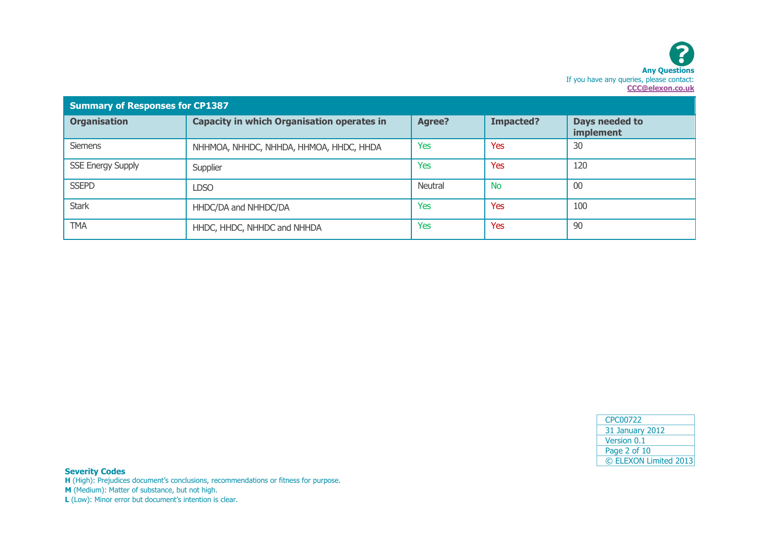| <b>Summary of Responses for CP1387</b> |                                                   |               |                  |                             |  |  |  |
|----------------------------------------|---------------------------------------------------|---------------|------------------|-----------------------------|--|--|--|
| <b>Organisation</b>                    | <b>Capacity in which Organisation operates in</b> | <b>Agree?</b> | <b>Impacted?</b> | Days needed to<br>implement |  |  |  |
| <b>Siemens</b>                         | NHHMOA, NHHDC, NHHDA, HHMOA, HHDC, HHDA           | Yes           | Yes              | 30                          |  |  |  |
| <b>SSE Energy Supply</b>               | Supplier                                          | <b>Yes</b>    | <b>Yes</b>       | 120                         |  |  |  |
| <b>SSEPD</b>                           | <b>LDSO</b>                                       | Neutral       | <b>No</b>        | 00                          |  |  |  |
| <b>Stark</b>                           | HHDC/DA and NHHDC/DA                              | Yes           | <b>Yes</b>       | 100                         |  |  |  |
| <b>TMA</b>                             | HHDC, HHDC, NHHDC and NHHDA                       | Yes           | Yes              | 90                          |  |  |  |

| CPC00722               |
|------------------------|
| <b>31 January 2012</b> |
| Version 0.1            |
| Page 2 of 10           |
| © ELEXON Limited 2013  |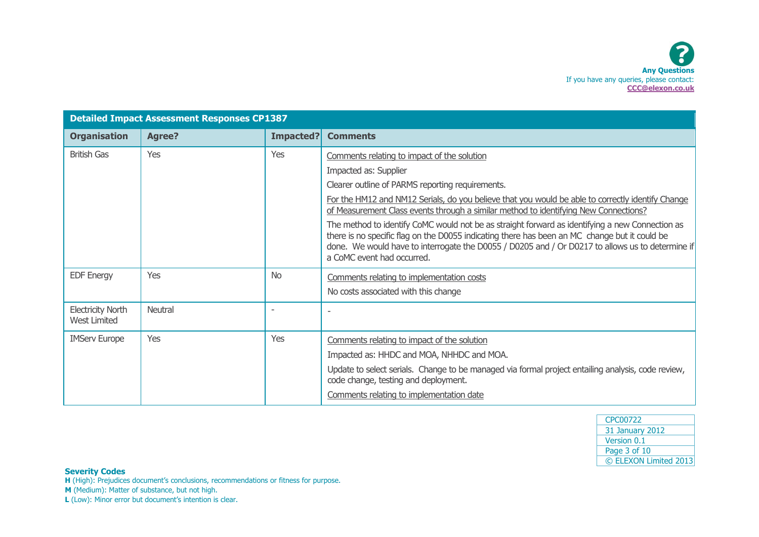| <b>Detailed Impact Assessment Responses CP1387</b> |               |           |                                                                                                                                                                                                                                                                                                                                    |
|----------------------------------------------------|---------------|-----------|------------------------------------------------------------------------------------------------------------------------------------------------------------------------------------------------------------------------------------------------------------------------------------------------------------------------------------|
| <b>Organisation</b>                                | <b>Agree?</b> | Impacted? | <b>Comments</b>                                                                                                                                                                                                                                                                                                                    |
| <b>British Gas</b>                                 | Yes           | Yes       | Comments relating to impact of the solution                                                                                                                                                                                                                                                                                        |
|                                                    |               |           | Impacted as: Supplier                                                                                                                                                                                                                                                                                                              |
|                                                    |               |           | Clearer outline of PARMS reporting requirements.                                                                                                                                                                                                                                                                                   |
|                                                    |               |           | For the HM12 and NM12 Serials, do you believe that you would be able to correctly identify Change<br>of Measurement Class events through a similar method to identifying New Connections?                                                                                                                                          |
|                                                    |               |           | The method to identify CoMC would not be as straight forward as identifying a new Connection as<br>there is no specific flag on the D0055 indicating there has been an MC change but it could be<br>done. We would have to interrogate the D0055 / D0205 and / Or D0217 to allows us to determine if<br>a CoMC event had occurred. |
| <b>EDF Energy</b>                                  | Yes           | <b>No</b> | Comments relating to implementation costs                                                                                                                                                                                                                                                                                          |
|                                                    |               |           | No costs associated with this change                                                                                                                                                                                                                                                                                               |
| <b>Electricity North</b><br><b>West Limited</b>    | Neutral       |           |                                                                                                                                                                                                                                                                                                                                    |
| <b>IMServ Europe</b>                               | Yes           | Yes       | Comments relating to impact of the solution                                                                                                                                                                                                                                                                                        |
|                                                    |               |           | Impacted as: HHDC and MOA, NHHDC and MOA.                                                                                                                                                                                                                                                                                          |
|                                                    |               |           | Update to select serials. Change to be managed via formal project entailing analysis, code review,<br>code change, testing and deployment.                                                                                                                                                                                         |
|                                                    |               |           | Comments relating to implementation date                                                                                                                                                                                                                                                                                           |

| CPC00722               |
|------------------------|
| <b>31 January 2012</b> |
| Version 0.1            |
| Page 3 of 10           |
| © ELEXON Limited 2013  |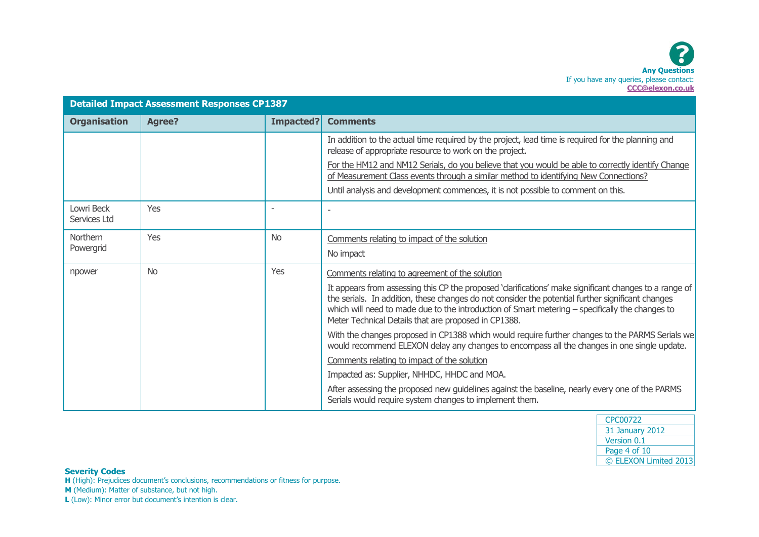| <b>Detailed Impact Assessment Responses CP1387</b> |           |                  |                                                                                                                                                                                                                                                                                                                                                                       |
|----------------------------------------------------|-----------|------------------|-----------------------------------------------------------------------------------------------------------------------------------------------------------------------------------------------------------------------------------------------------------------------------------------------------------------------------------------------------------------------|
| <b>Organisation</b>                                | Agree?    | <b>Impacted?</b> | <b>Comments</b>                                                                                                                                                                                                                                                                                                                                                       |
|                                                    |           |                  | In addition to the actual time required by the project, lead time is required for the planning and<br>release of appropriate resource to work on the project.                                                                                                                                                                                                         |
|                                                    |           |                  | For the HM12 and NM12 Serials, do you believe that you would be able to correctly identify Change<br>of Measurement Class events through a similar method to identifying New Connections?                                                                                                                                                                             |
|                                                    |           |                  | Until analysis and development commences, it is not possible to comment on this.                                                                                                                                                                                                                                                                                      |
| Lowri Beck<br>Services Ltd                         | Yes       |                  |                                                                                                                                                                                                                                                                                                                                                                       |
| <b>Northern</b>                                    | Yes       | <b>No</b>        | Comments relating to impact of the solution                                                                                                                                                                                                                                                                                                                           |
| Powergrid                                          |           |                  | No impact                                                                                                                                                                                                                                                                                                                                                             |
| npower                                             | <b>No</b> | Yes              | Comments relating to agreement of the solution                                                                                                                                                                                                                                                                                                                        |
|                                                    |           |                  | It appears from assessing this CP the proposed 'darifications' make significant changes to a range of<br>the serials. In addition, these changes do not consider the potential further significant changes<br>which will need to made due to the introduction of Smart metering - specifically the changes to<br>Meter Technical Details that are proposed in CP1388. |
|                                                    |           |                  | With the changes proposed in CP1388 which would require further changes to the PARMS Serials we<br>would recommend ELEXON delay any changes to encompass all the changes in one single update.                                                                                                                                                                        |
|                                                    |           |                  | Comments relating to impact of the solution                                                                                                                                                                                                                                                                                                                           |
|                                                    |           |                  | Impacted as: Supplier, NHHDC, HHDC and MOA.                                                                                                                                                                                                                                                                                                                           |
|                                                    |           |                  | After assessing the proposed new guidelines against the baseline, nearly every one of the PARMS<br>Serials would require system changes to implement them.                                                                                                                                                                                                            |

| CPC00722               |
|------------------------|
| <b>31 January 2012</b> |
| Version 0.1            |
| Page 4 of 10           |
| © ELEXON Limited 2013  |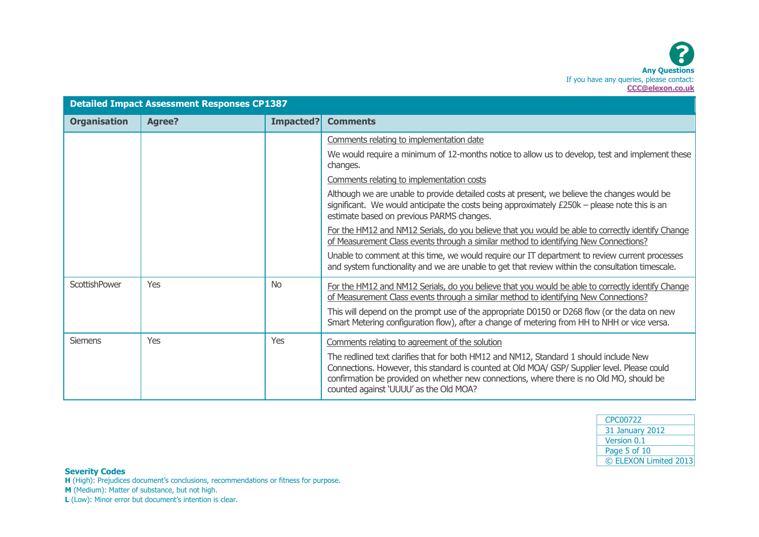

| <b>Detailed Impact Assessment Responses CP1387</b> |               |                  |                                                                                                                                                                                                                                                                                                                              |
|----------------------------------------------------|---------------|------------------|------------------------------------------------------------------------------------------------------------------------------------------------------------------------------------------------------------------------------------------------------------------------------------------------------------------------------|
| <b>Organisation</b>                                | <b>Agree?</b> | <b>Impacted?</b> | <b>Comments</b>                                                                                                                                                                                                                                                                                                              |
|                                                    |               |                  | Comments relating to implementation date                                                                                                                                                                                                                                                                                     |
|                                                    |               |                  | We would require a minimum of 12-months notice to allow us to develop, test and implement these<br>changes.                                                                                                                                                                                                                  |
|                                                    |               |                  | Comments relating to implementation costs                                                                                                                                                                                                                                                                                    |
|                                                    |               |                  | Although we are unable to provide detailed costs at present, we believe the changes would be<br>significant. We would anticipate the costs being approximately $£250k$ – please note this is an<br>estimate based on previous PARMS changes.                                                                                 |
|                                                    |               |                  | For the HM12 and NM12 Serials, do you believe that you would be able to correctly identify Change<br>of Measurement Class events through a similar method to identifying New Connections?                                                                                                                                    |
|                                                    |               |                  | Unable to comment at this time, we would require our IT department to review current processes<br>and system functionality and we are unable to get that review within the consultation timescale.                                                                                                                           |
| ScottishPower                                      | Yes           | <b>No</b>        | For the HM12 and NM12 Serials, do you believe that you would be able to correctly identify Change<br>of Measurement Class events through a similar method to identifying New Connections?                                                                                                                                    |
|                                                    |               |                  | This will depend on the prompt use of the appropriate D0150 or D268 flow (or the data on new<br>Smart Metering configuration flow), after a change of metering from HH to NHH or vice versa.                                                                                                                                 |
| <b>Siemens</b>                                     | Yes           | Yes              | Comments relating to agreement of the solution                                                                                                                                                                                                                                                                               |
|                                                    |               |                  | The redlined text clarifies that for both HM12 and NM12, Standard 1 should include New<br>Connections. However, this standard is counted at Old MOA/ GSP/ Supplier level. Please could<br>confirmation be provided on whether new connections, where there is no Old MO, should be<br>counted against 'UUUU' as the Old MOA? |

| <b>CPC00722</b>        |
|------------------------|
| <b>31 January 2012</b> |
| Version 0.1            |
| Page 5 of 10           |
| © ELEXON Limited 2013  |

**Severity Codes**

**H** (High): Prejudices document's conclusions, recommendations or fitness for purpose.

**M** (Medium): Matter of substance, but not high.

**L** (Low): Minor error but document's intention is clear.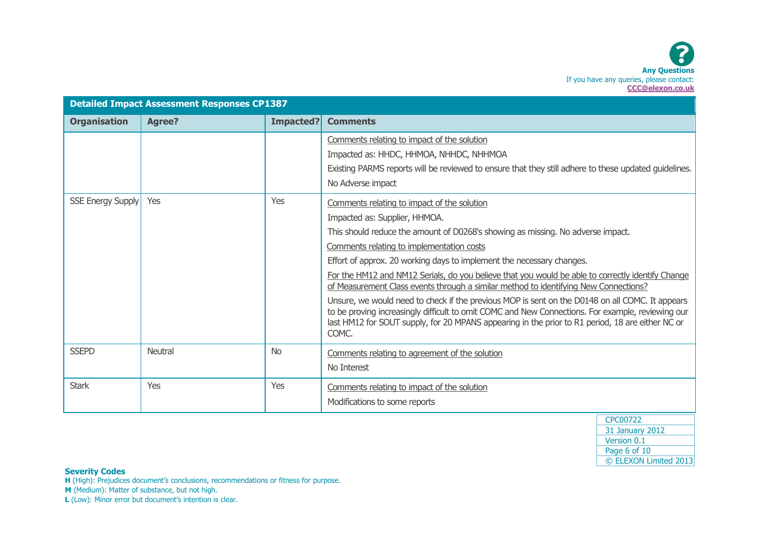| <b>Detailed Impact Assessment Responses CP1387</b> |               |           |                                                                                                                                                                                                                                                                                                                                                                                                                                                                                                                                                                                                                                                                                                                                                                                                         |
|----------------------------------------------------|---------------|-----------|---------------------------------------------------------------------------------------------------------------------------------------------------------------------------------------------------------------------------------------------------------------------------------------------------------------------------------------------------------------------------------------------------------------------------------------------------------------------------------------------------------------------------------------------------------------------------------------------------------------------------------------------------------------------------------------------------------------------------------------------------------------------------------------------------------|
| <b>Organisation</b>                                | <b>Agree?</b> | Impacted? | <b>Comments</b>                                                                                                                                                                                                                                                                                                                                                                                                                                                                                                                                                                                                                                                                                                                                                                                         |
|                                                    |               |           | Comments relating to impact of the solution<br>Impacted as: HHDC, HHMOA, NHHDC, NHHMOA<br>Existing PARMS reports will be reviewed to ensure that they still adhere to these updated guidelines.<br>No Adverse impact                                                                                                                                                                                                                                                                                                                                                                                                                                                                                                                                                                                    |
| <b>SSE Energy Supply</b>                           | Yes           | Yes       | Comments relating to impact of the solution<br>Impacted as: Supplier, HHMOA.<br>This should reduce the amount of D0268's showing as missing. No adverse impact.<br>Comments relating to implementation costs<br>Effort of approx. 20 working days to implement the necessary changes.<br>For the HM12 and NM12 Serials, do you believe that you would be able to correctly identify Change<br>of Measurement Class events through a similar method to identifying New Connections?<br>Unsure, we would need to check if the previous MOP is sent on the D0148 on all COMC. It appears<br>to be proving increasingly difficult to omit COMC and New Connections. For example, reviewing our<br>last HM12 for SOUT supply, for 20 MPANS appearing in the prior to R1 period, 18 are either NC or<br>COMC. |
| <b>SSEPD</b>                                       | Neutral       | <b>No</b> | Comments relating to agreement of the solution<br>No Interest                                                                                                                                                                                                                                                                                                                                                                                                                                                                                                                                                                                                                                                                                                                                           |
| <b>Stark</b>                                       | Yes           | Yes       | Comments relating to impact of the solution<br>Modifications to some reports                                                                                                                                                                                                                                                                                                                                                                                                                                                                                                                                                                                                                                                                                                                            |

| CPC00722               |
|------------------------|
| <b>31 January 2012</b> |
| Version 0.1            |
| Page 6 of 10           |
| © ELEXON Limited 2013  |

**Severity Codes**

**H** (High): Prejudices document's conclusions, recommendations or fitness for purpose.

**M** (Medium): Matter of substance, but not high.

**L** (Low): Minor error but document's intention is clear.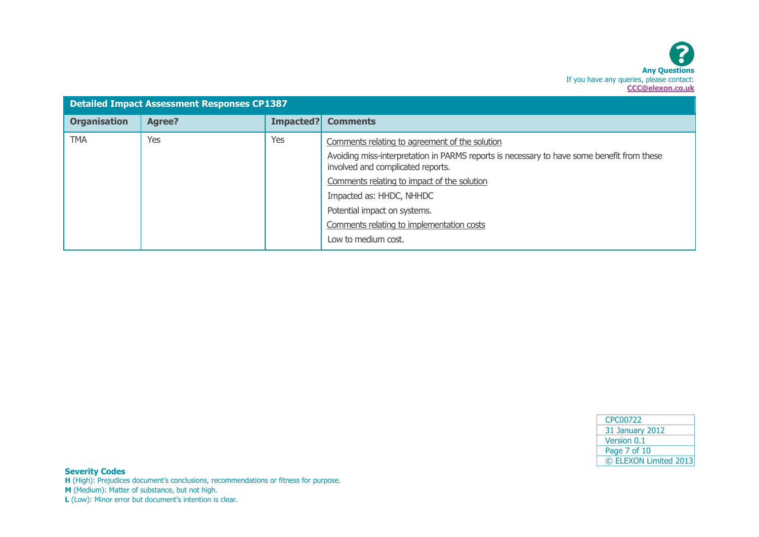

| <b>Detailed Impact Assessment Responses CP1387</b> |               |           |                                                                                                                                 |
|----------------------------------------------------|---------------|-----------|---------------------------------------------------------------------------------------------------------------------------------|
| <b>Organisation</b>                                | <b>Agree?</b> | Impacted? | <b>Comments</b>                                                                                                                 |
| <b>TMA</b>                                         | Yes           | Yes       | Comments relating to agreement of the solution                                                                                  |
|                                                    |               |           | Avoiding miss-interpretation in PARMS reports is necessary to have some benefit from these<br>involved and complicated reports. |
|                                                    |               |           | Comments relating to impact of the solution                                                                                     |
|                                                    |               |           | Impacted as: HHDC, NHHDC                                                                                                        |
|                                                    |               |           | Potential impact on systems.                                                                                                    |
|                                                    |               |           | Comments relating to implementation costs                                                                                       |
|                                                    |               |           | Low to medium cost.                                                                                                             |

| CPC00722               |
|------------------------|
| <b>31 January 2012</b> |
| Version 0.1            |
| Page 7 of 10           |
| © ELEXON Limited 2013  |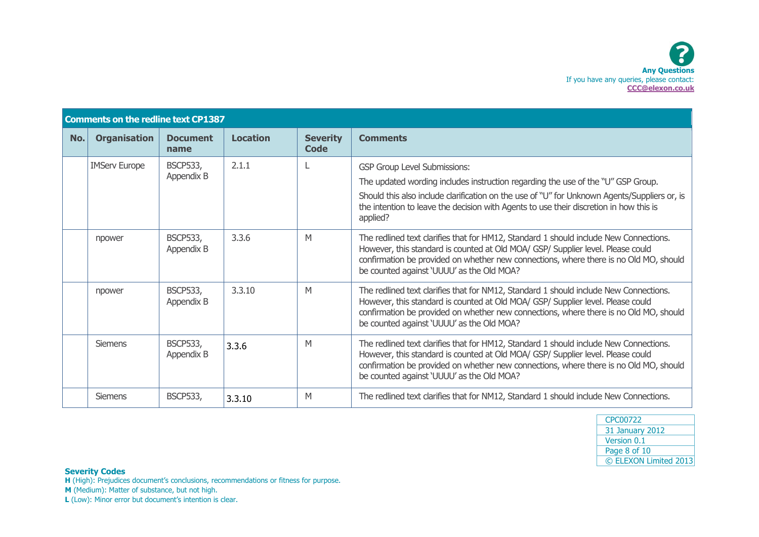|     | <b>Comments on the redline text CP1387</b> |                               |                 |                         |                                                                                                                                                                                                                                                                                                                               |  |
|-----|--------------------------------------------|-------------------------------|-----------------|-------------------------|-------------------------------------------------------------------------------------------------------------------------------------------------------------------------------------------------------------------------------------------------------------------------------------------------------------------------------|--|
| No. | <b>Organisation</b>                        | <b>Document</b><br>name       | <b>Location</b> | <b>Severity</b><br>Code | <b>Comments</b>                                                                                                                                                                                                                                                                                                               |  |
|     | <b>IMServ Europe</b>                       | <b>BSCP533,</b><br>Appendix B | 2.1.1           |                         | <b>GSP Group Level Submissions:</b><br>The updated wording includes instruction regarding the use of the "U" GSP Group.<br>Should this also include clarification on the use of "U" for Unknown Agents/Suppliers or, is<br>the intention to leave the decision with Agents to use their discretion in how this is<br>applied? |  |
|     | npower                                     | <b>BSCP533,</b><br>Appendix B | 3.3.6           | M                       | The redlined text clarifies that for HM12, Standard 1 should include New Connections.<br>However, this standard is counted at Old MOA/ GSP/ Supplier level. Please could<br>confirmation be provided on whether new connections, where there is no Old MO, should<br>be counted against 'UUUU' as the Old MOA?                |  |
|     | npower                                     | <b>BSCP533,</b><br>Appendix B | 3.3.10          | M                       | The redlined text clarifies that for NM12, Standard 1 should include New Connections.<br>However, this standard is counted at Old MOA/ GSP/ Supplier level. Please could<br>confirmation be provided on whether new connections, where there is no Old MO, should<br>be counted against 'UUUU' as the Old MOA?                |  |
|     | <b>Siemens</b>                             | <b>BSCP533,</b><br>Appendix B | 3.3.6           | M                       | The redlined text clarifies that for HM12, Standard 1 should include New Connections.<br>However, this standard is counted at Old MOA/ GSP/ Supplier level. Please could<br>confirmation be provided on whether new connections, where there is no Old MO, should<br>be counted against 'UUUU' as the Old MOA?                |  |
|     | <b>Siemens</b>                             | <b>BSCP533,</b>               | 3.3.10          | M                       | The redlined text clarifies that for NM12, Standard 1 should include New Connections.                                                                                                                                                                                                                                         |  |

| CPC00722               |
|------------------------|
| <b>31 January 2012</b> |
| Version 0.1            |
| Page 8 of 10           |
| © ELEXON Limited 2013  |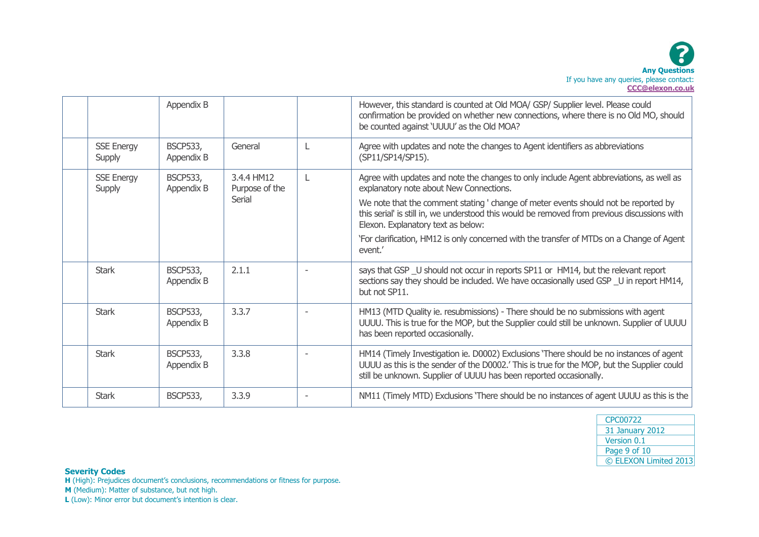|                             | Appendix B                    |                                        |              | However, this standard is counted at Old MOA/ GSP/ Supplier level. Please could<br>confirmation be provided on whether new connections, where there is no Old MO, should<br>be counted against 'UUUU' as the Old MOA?                                                                                                                                                                                                                                                   |
|-----------------------------|-------------------------------|----------------------------------------|--------------|-------------------------------------------------------------------------------------------------------------------------------------------------------------------------------------------------------------------------------------------------------------------------------------------------------------------------------------------------------------------------------------------------------------------------------------------------------------------------|
| <b>SSE Energy</b><br>Supply | <b>BSCP533,</b><br>Appendix B | General                                | L            | Agree with updates and note the changes to Agent identifiers as abbreviations<br>(SP11/SP14/SP15).                                                                                                                                                                                                                                                                                                                                                                      |
| <b>SSE Energy</b><br>Supply | <b>BSCP533,</b><br>Appendix B | 3.4.4 HM12<br>Purpose of the<br>Serial | $\mathsf{L}$ | Agree with updates and note the changes to only include Agent abbreviations, as well as<br>explanatory note about New Connections.<br>We note that the comment stating ' change of meter events should not be reported by<br>this serial' is still in, we understood this would be removed from previous discussions with<br>Elexon. Explanatory text as below:<br>`For clarification, HM12 is only concerned with the transfer of MTDs on a Change of Agent<br>event.' |
| <b>Stark</b>                | <b>BSCP533,</b><br>Appendix B | 2.1.1                                  |              | says that GSP _U should not occur in reports SP11 or HM14, but the relevant report<br>sections say they should be included. We have occasionally used GSP _U in report HM14,<br>but not SP11.                                                                                                                                                                                                                                                                           |
| <b>Stark</b>                | <b>BSCP533,</b><br>Appendix B | 3.3.7                                  |              | HM13 (MTD Quality ie. resubmissions) - There should be no submissions with agent<br>UUUU. This is true for the MOP, but the Supplier could still be unknown. Supplier of UUUU<br>has been reported occasionally.                                                                                                                                                                                                                                                        |
| <b>Stark</b>                | <b>BSCP533,</b><br>Appendix B | 3.3.8                                  |              | HM14 (Timely Investigation ie. D0002) Exclusions 'There should be no instances of agent<br>UUUU as this is the sender of the D0002.' This is true for the MOP, but the Supplier could<br>still be unknown. Supplier of UUUU has been reported occasionally.                                                                                                                                                                                                             |
| <b>Stark</b>                | <b>BSCP533,</b>               | 3.3.9                                  |              | NM11 (Timely MTD) Exclusions 'There should be no instances of agent UUUU as this is the                                                                                                                                                                                                                                                                                                                                                                                 |

| CPC00722               |
|------------------------|
| <b>31 January 2012</b> |
| Version 0.1            |
| Page 9 of 10           |
| © ELEXON Limited 2013  |